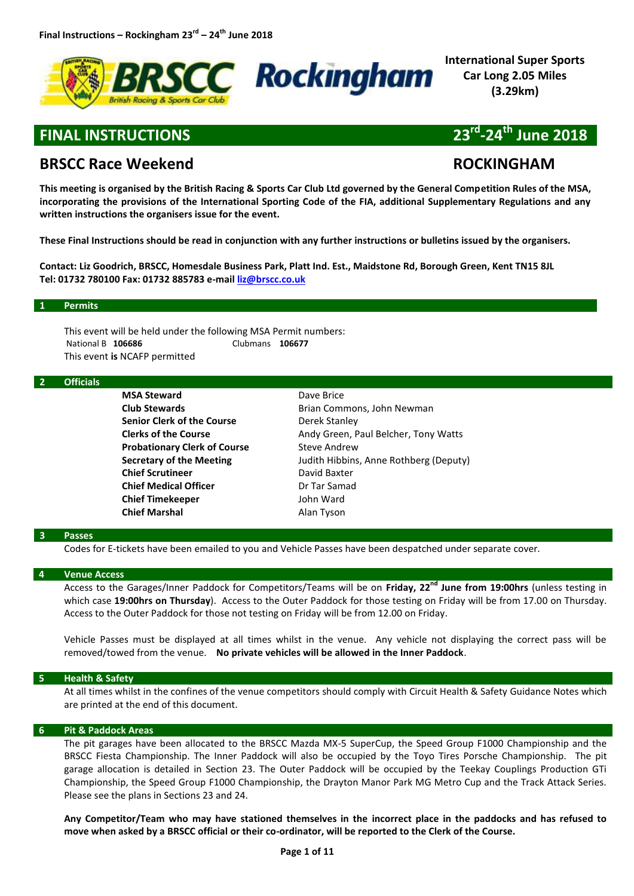



**International Super Sports Car Long 2.05 Miles (3.29km)**

# **FINAL INSTRUCTIONS**

# **-24th June 2018**

# **BRSCC Race Weekend ROCKINGHAM**

**This meeting is organised by the British Racing & Sports Car Club Ltd governed by the General Competition Rules of the MSA, incorporating the provisions of the International Sporting Code of the FIA, additional Supplementary Regulations and any written instructions the organisers issue for the event.** 

**These Final Instructions should be read in conjunction with any further instructions or bulletins issued by the organisers.**

**Contact: Liz Goodrich, BRSCC, Homesdale Business Park, Platt Ind. Est., Maidstone Rd, Borough Green, Kent TN15 8JL Tel: 01732 780100 Fax: 01732 885783 e-mail [liz@brscc.co.uk](mailto:liz@brscc.co.uk)**

#### **1 Permits**

This event will be held under the following MSA Permit numbers: National B **106686** Clubmans **106677** This event **is** NCAFP permitted

#### **2 Officials**

**MSA Steward** Dave Brice **Senior Clerk of the Course** Derek Stanley **Probationary Clerk of Course** Steve Andrew **Chief Scrutineer** David Baxter **Chief Medical Officer Dr Tar Samad Chief Timekeeper** John Ward **Chief Marshal** Alan Tyson

**Club Stewards Brian Commons, John Newman Clerks of the Course Andy Green, Paul Belcher, Tony Watts Secretary of the Meeting** Judith Hibbins, Anne Rothberg (Deputy)

#### **3 Passes**

Codes for E-tickets have been emailed to you and Vehicle Passes have been despatched under separate cover.

#### **4 Venue Access**

Access to the Garages/Inner Paddock for Competitors/Teams will be on **Friday, 22nd June from 19:00hrs** (unless testing in which case **19:00hrs on Thursday**). Access to the Outer Paddock for those testing on Friday will be from 17.00 on Thursday. Access to the Outer Paddock for those not testing on Friday will be from 12.00 on Friday.

Vehicle Passes must be displayed at all times whilst in the venue. Any vehicle not displaying the correct pass will be removed/towed from the venue. **No private vehicles will be allowed in the Inner Paddock**.

#### **5 Health & Safety**

At all times whilst in the confines of the venue competitors should comply with Circuit Health & Safety Guidance Notes which are printed at the end of this document.

#### **6 Pit & Paddock Areas**

The pit garages have been allocated to the BRSCC Mazda MX-5 SuperCup, the Speed Group F1000 Championship and the BRSCC Fiesta Championship. The Inner Paddock will also be occupied by the Toyo Tires Porsche Championship. The pit garage allocation is detailed in Section 23. The Outer Paddock will be occupied by the Teekay Couplings Production GTi Championship, the Speed Group F1000 Championship, the Drayton Manor Park MG Metro Cup and the Track Attack Series. Please see the plans in Sections 23 and 24.

**Any Competitor/Team who may have stationed themselves in the incorrect place in the paddocks and has refused to move when asked by a BRSCC official or their co-ordinator, will be reported to the Clerk of the Course.**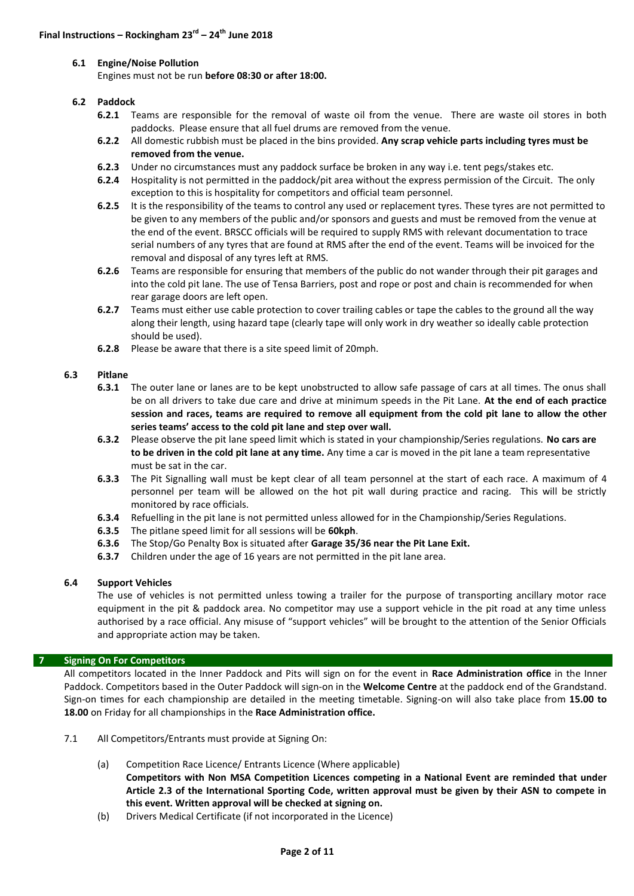#### **6.1 Engine/Noise Pollution**

Engines must not be run **before 08:30 or after 18:00.**

#### **6.2 Paddock**

- **6.2.1** Teams are responsible for the removal of waste oil from the venue. There are waste oil stores in both paddocks. Please ensure that all fuel drums are removed from the venue.
- **6.2.2** All domestic rubbish must be placed in the bins provided. **Any scrap vehicle parts including tyres must be removed from the venue.**
- **6.2.3** Under no circumstances must any paddock surface be broken in any way i.e. tent pegs/stakes etc.
- **6.2.4** Hospitality is not permitted in the paddock/pit area without the express permission of the Circuit. The only exception to this is hospitality for competitors and official team personnel.
- **6.2.5** It is the responsibility of the teams to control any used or replacement tyres. These tyres are not permitted to be given to any members of the public and/or sponsors and guests and must be removed from the venue at the end of the event. BRSCC officials will be required to supply RMS with relevant documentation to trace serial numbers of any tyres that are found at RMS after the end of the event. Teams will be invoiced for the removal and disposal of any tyres left at RMS.
- **6.2.6** Teams are responsible for ensuring that members of the public do not wander through their pit garages and into the cold pit lane. The use of Tensa Barriers, post and rope or post and chain is recommended for when rear garage doors are left open.
- **6.2.7** Teams must either use cable protection to cover trailing cables or tape the cables to the ground all the way along their length, using hazard tape (clearly tape will only work in dry weather so ideally cable protection should be used).
- **6.2.8** Please be aware that there is a site speed limit of 20mph.

#### **6.3 Pitlane**

- **6.3.1** The outer lane or lanes are to be kept unobstructed to allow safe passage of cars at all times. The onus shall be on all drivers to take due care and drive at minimum speeds in the Pit Lane. **At the end of each practice session and races, teams are required to remove all equipment from the cold pit lane to allow the other series teams' access to the cold pit lane and step over wall.**
- **6.3.2** Please observe the pit lane speed limit which is stated in your championship/Series regulations. **No cars are to be driven in the cold pit lane at any time.** Any time a car is moved in the pit lane a team representative must be sat in the car.
- **6.3.3** The Pit Signalling wall must be kept clear of all team personnel at the start of each race. A maximum of 4 personnel per team will be allowed on the hot pit wall during practice and racing. This will be strictly monitored by race officials.
- **6.3.4** Refuelling in the pit lane is not permitted unless allowed for in the Championship/Series Regulations.
- **6.3.5** The pitlane speed limit for all sessions will be **60kph**.
- **6.3.6** The Stop/Go Penalty Box is situated after **Garage 35/36 near the Pit Lane Exit.**
- **6.3.7** Children under the age of 16 years are not permitted in the pit lane area.

# **6.4 Support Vehicles**

The use of vehicles is not permitted unless towing a trailer for the purpose of transporting ancillary motor race equipment in the pit & paddock area. No competitor may use a support vehicle in the pit road at any time unless authorised by a race official. Any misuse of "support vehicles" will be brought to the attention of the Senior Officials and appropriate action may be taken.

#### **7 Signing On For Competitors**

All competitors located in the Inner Paddock and Pits will sign on for the event in **Race Administration office** in the Inner Paddock. Competitors based in the Outer Paddock will sign-on in the **Welcome Centre** at the paddock end of the Grandstand. Sign-on times for each championship are detailed in the meeting timetable. Signing-on will also take place from **15.00 to 18.00** on Friday for all championships in the **Race Administration office.**

- 7.1 All Competitors/Entrants must provide at Signing On:
	- (a) Competition Race Licence/ Entrants Licence (Where applicable) **Competitors with Non MSA Competition Licences competing in a National Event are reminded that under Article 2.3 of the International Sporting Code, written approval must be given by their ASN to compete in this event. Written approval will be checked at signing on.**
	- (b) Drivers Medical Certificate (if not incorporated in the Licence)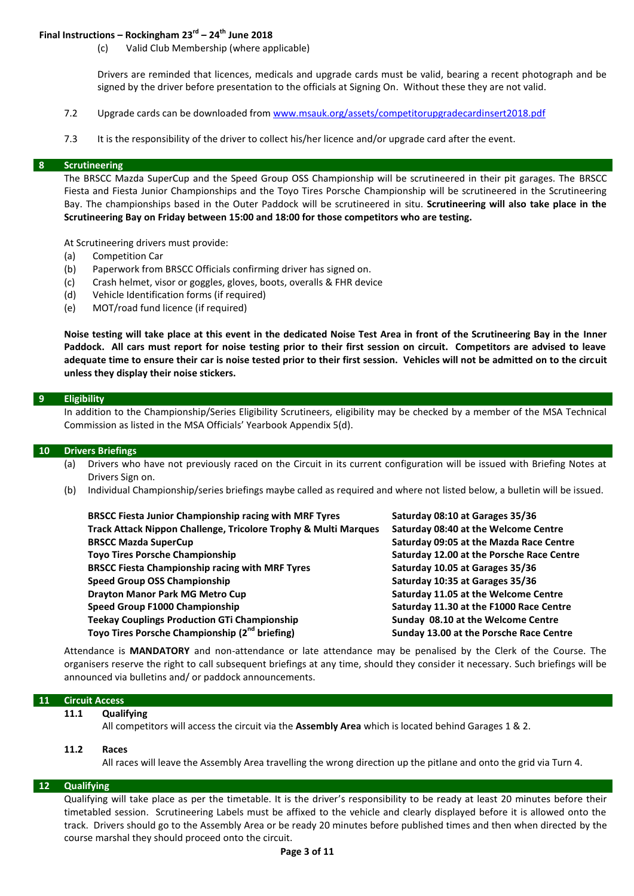# **Final Instructions – Rockingham 23rd – 24th June 2018**

(c) Valid Club Membership (where applicable)

Drivers are reminded that licences, medicals and upgrade cards must be valid, bearing a recent photograph and be signed by the driver before presentation to the officials at Signing On. Without these they are not valid.

- 7.2 Upgrade cards can be downloaded from [www.msauk.org/assets/competitorupgradecardinsert2018.pdf](http://www.msauk.org/assets/competitorupgradecardinsert2018.pdf)
- 7.3 It is the responsibility of the driver to collect his/her licence and/or upgrade card after the event.

#### **8 Scrutineering**

The BRSCC Mazda SuperCup and the Speed Group OSS Championship will be scrutineered in their pit garages. The BRSCC Fiesta and Fiesta Junior Championships and the Toyo Tires Porsche Championship will be scrutineered in the Scrutineering Bay. The championships based in the Outer Paddock will be scrutineered in situ. **Scrutineering will also take place in the Scrutineering Bay on Friday between 15:00 and 18:00 for those competitors who are testing.**

At Scrutineering drivers must provide:

- (a) Competition Car
- (b) Paperwork from BRSCC Officials confirming driver has signed on.
- (c) Crash helmet, visor or goggles, gloves, boots, overalls & FHR device
- (d) Vehicle Identification forms (if required)
- (e) MOT/road fund licence (if required)

**Noise testing will take place at this event in the dedicated Noise Test Area in front of the Scrutineering Bay in the Inner Paddock. All cars must report for noise testing prior to their first session on circuit. Competitors are advised to leave adequate time to ensure their car is noise tested prior to their first session. Vehicles will not be admitted on to the circuit unless they display their noise stickers.**

#### **9 Eligibility**

In addition to the Championship/Series Eligibility Scrutineers, eligibility may be checked by a member of the MSA Technical Commission as listed in the MSA Officials' Yearbook Appendix 5(d).

#### **10 Drivers Briefings**

- (a) Drivers who have not previously raced on the Circuit in its current configuration will be issued with Briefing Notes at Drivers Sign on.
- (b) Individual Championship/series briefings maybe called as required and where not listed below, a bulletin will be issued.

| <b>BRSCC Fiesta Junior Championship racing with MRF Tyres</b>   | Saturday 08:10 at Garages 35/36           |
|-----------------------------------------------------------------|-------------------------------------------|
| Track Attack Nippon Challenge, Tricolore Trophy & Multi Marques | Saturday 08:40 at the Welcome Centre      |
| <b>BRSCC Mazda SuperCup</b>                                     | Saturday 09:05 at the Mazda Race Centre   |
| <b>Toyo Tires Porsche Championship</b>                          | Saturday 12.00 at the Porsche Race Centre |
| <b>BRSCC Fiesta Championship racing with MRF Tyres</b>          | Saturday 10.05 at Garages 35/36           |
| <b>Speed Group OSS Championship</b>                             | Saturday 10:35 at Garages 35/36           |
| <b>Drayton Manor Park MG Metro Cup</b>                          | Saturday 11.05 at the Welcome Centre      |
| Speed Group F1000 Championship                                  | Saturday 11.30 at the F1000 Race Centre   |
| <b>Teekay Couplings Production GTi Championship</b>             | Sunday 08.10 at the Welcome Centre        |
| Toyo Tires Porsche Championship (2 <sup>nd</sup> briefing)      | Sunday 13.00 at the Porsche Race Centre   |

Attendance is **MANDATORY** and non-attendance or late attendance may be penalised by the Clerk of the Course. The organisers reserve the right to call subsequent briefings at any time, should they consider it necessary. Such briefings will be announced via bulletins and/ or paddock announcements.

#### **11 Circuit Access**

#### **11.1 Qualifying**

All competitors will access the circuit via the **Assembly Area** which is located behind Garages 1 & 2.

#### **11.2 Races**

All races will leave the Assembly Area travelling the wrong direction up the pitlane and onto the grid via Turn 4.

## **12 Qualifying**

Qualifying will take place as per the timetable. It is the driver's responsibility to be ready at least 20 minutes before their timetabled session. Scrutineering Labels must be affixed to the vehicle and clearly displayed before it is allowed onto the track. Drivers should go to the Assembly Area or be ready 20 minutes before published times and then when directed by the course marshal they should proceed onto the circuit.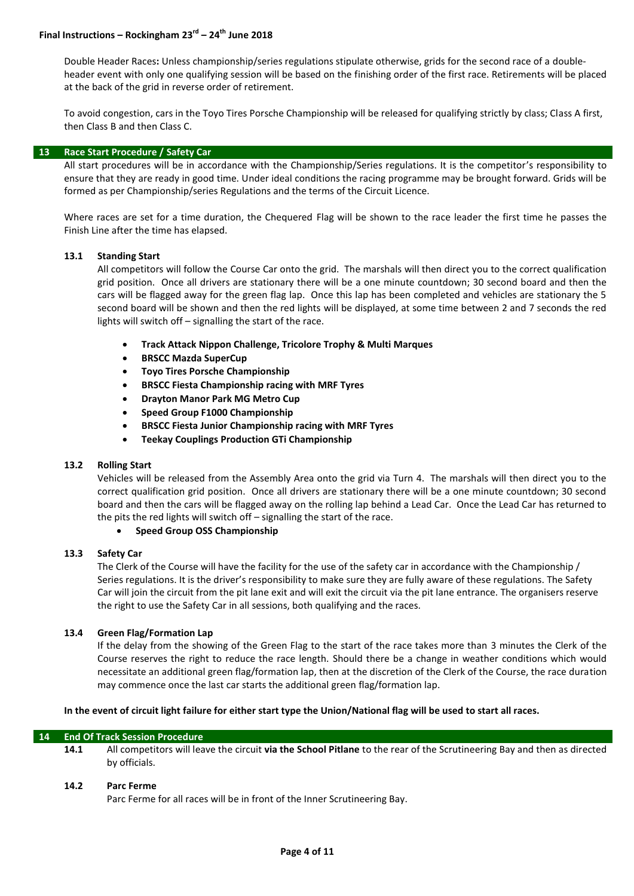# **Final Instructions – Rockingham 23rd – 24th June 2018**

Double Header Races**:** Unless championship/series regulations stipulate otherwise, grids for the second race of a doubleheader event with only one qualifying session will be based on the finishing order of the first race. Retirements will be placed at the back of the grid in reverse order of retirement.

To avoid congestion, cars in the Toyo Tires Porsche Championship will be released for qualifying strictly by class; Class A first, then Class B and then Class C.

#### **13 Race Start Procedure / Safety Car**

All start procedures will be in accordance with the Championship/Series regulations. It is the competitor's responsibility to ensure that they are ready in good time. Under ideal conditions the racing programme may be brought forward. Grids will be formed as per Championship/series Regulations and the terms of the Circuit Licence.

Where races are set for a time duration, the Chequered Flag will be shown to the race leader the first time he passes the Finish Line after the time has elapsed.

#### **13.1 Standing Start**

All competitors will follow the Course Car onto the grid. The marshals will then direct you to the correct qualification grid position. Once all drivers are stationary there will be a one minute countdown; 30 second board and then the cars will be flagged away for the green flag lap. Once this lap has been completed and vehicles are stationary the 5 second board will be shown and then the red lights will be displayed, at some time between 2 and 7 seconds the red lights will switch off – signalling the start of the race.

- **Track Attack Nippon Challenge, Tricolore Trophy & Multi Marques**
- **BRSCC Mazda SuperCup**
- **Toyo Tires Porsche Championship**
- **BRSCC Fiesta Championship racing with MRF Tyres**
- **Drayton Manor Park MG Metro Cup**
- **Speed Group F1000 Championship**
- **BRSCC Fiesta Junior Championship racing with MRF Tyres**
- **Teekay Couplings Production GTi Championship**

#### **13.2 Rolling Start**

Vehicles will be released from the Assembly Area onto the grid via Turn 4. The marshals will then direct you to the correct qualification grid position. Once all drivers are stationary there will be a one minute countdown; 30 second board and then the cars will be flagged away on the rolling lap behind a Lead Car. Once the Lead Car has returned to the pits the red lights will switch off – signalling the start of the race.

#### **Speed Group OSS Championship**

#### **13.3 Safety Car**

The Clerk of the Course will have the facility for the use of the safety car in accordance with the Championship / Series regulations. It is the driver's responsibility to make sure they are fully aware of these regulations. The Safety Car will join the circuit from the pit lane exit and will exit the circuit via the pit lane entrance. The organisers reserve the right to use the Safety Car in all sessions, both qualifying and the races.

#### **13.4 Green Flag/Formation Lap**

If the delay from the showing of the Green Flag to the start of the race takes more than 3 minutes the Clerk of the Course reserves the right to reduce the race length. Should there be a change in weather conditions which would necessitate an additional green flag/formation lap, then at the discretion of the Clerk of the Course, the race duration may commence once the last car starts the additional green flag/formation lap.

#### **In the event of circuit light failure for either start type the Union/National flag will be used to start all races.**

#### **14 End Of Track Session Procedure**

**14.1** All competitors will leave the circuit **via the School Pitlane** to the rear of the Scrutineering Bay and then as directed by officials.

#### **14.2 Parc Ferme**

Parc Ferme for all races will be in front of the Inner Scrutineering Bay.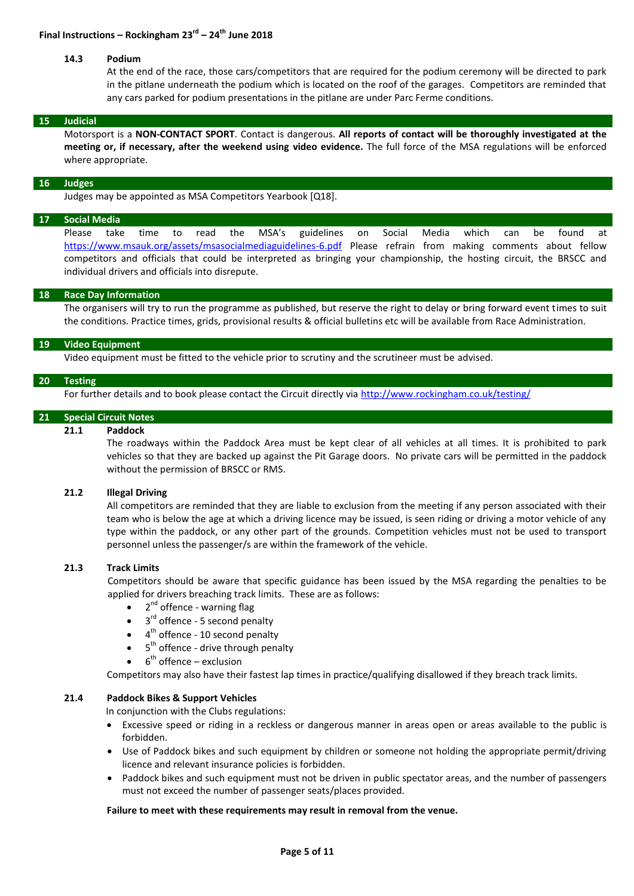#### **14.3 Podium**

At the end of the race, those cars/competitors that are required for the podium ceremony will be directed to park in the pitlane underneath the podium which is located on the roof of the garages. Competitors are reminded that any cars parked for podium presentations in the pitlane are under Parc Ferme conditions.

#### **15 Judicial**

Motorsport is a **NON-CONTACT SPORT**. Contact is dangerous. **All reports of contact will be thoroughly investigated at the meeting or, if necessary, after the weekend using video evidence.** The full force of the MSA regulations will be enforced where appropriate.

#### **16 Judges**

Judges may be appointed as MSA Competitors Yearbook [Q18].

# **17 Social Media**

Please take time to read the MSA's guidelines on Social Media which can be found at <https://www.msauk.org/assets/msasocialmediaguidelines-6.pdf> Please refrain from making comments about fellow competitors and officials that could be interpreted as bringing your championship, the hosting circuit, the BRSCC and individual drivers and officials into disrepute.

#### **18 Race Day Information**

The organisers will try to run the programme as published, but reserve the right to delay or bring forward event times to suit the conditions. Practice times, grids, provisional results & official bulletins etc will be available from Race Administration.

#### **19 Video Equipment**

Video equipment must be fitted to the vehicle prior to scrutiny and the scrutineer must be advised.

#### **20 Testing**

For further details and to book please contact the Circuit directly via <http://www.rockingham.co.uk/testing/>

#### **21 Special Circuit Notes**

#### **21.1 Paddock**

The roadways within the Paddock Area must be kept clear of all vehicles at all times. It is prohibited to park vehicles so that they are backed up against the Pit Garage doors. No private cars will be permitted in the paddock without the permission of BRSCC or RMS.

#### **21.2 Illegal Driving**

All competitors are reminded that they are liable to exclusion from the meeting if any person associated with their team who is below the age at which a driving licence may be issued, is seen riding or driving a motor vehicle of any type within the paddock, or any other part of the grounds. Competition vehicles must not be used to transport personnel unless the passenger/s are within the framework of the vehicle.

### **21.3 Track Limits**

Competitors should be aware that specific guidance has been issued by the MSA regarding the penalties to be applied for drivers breaching track limits. These are as follows:

- 2<sup>nd</sup> offence warning flag
- $\bullet$  3<sup>rd</sup> offence 5 second penalty
- $\bullet$  4<sup>th</sup> offence 10 second penalty
- $\bullet$  5<sup>th</sup> offence drive through penalty
- $\bullet$  6<sup>th</sup> offence exclusion

Competitors may also have their fastest lap times in practice/qualifying disallowed if they breach track limits.

#### **21.4 Paddock Bikes & Support Vehicles**

In conjunction with the Clubs regulations:

- Excessive speed or riding in a reckless or dangerous manner in areas open or areas available to the public is forbidden.
- Use of Paddock bikes and such equipment by children or someone not holding the appropriate permit/driving licence and relevant insurance policies is forbidden.
- Paddock bikes and such equipment must not be driven in public spectator areas, and the number of passengers must not exceed the number of passenger seats/places provided.

#### **Failure to meet with these requirements may result in removal from the venue.**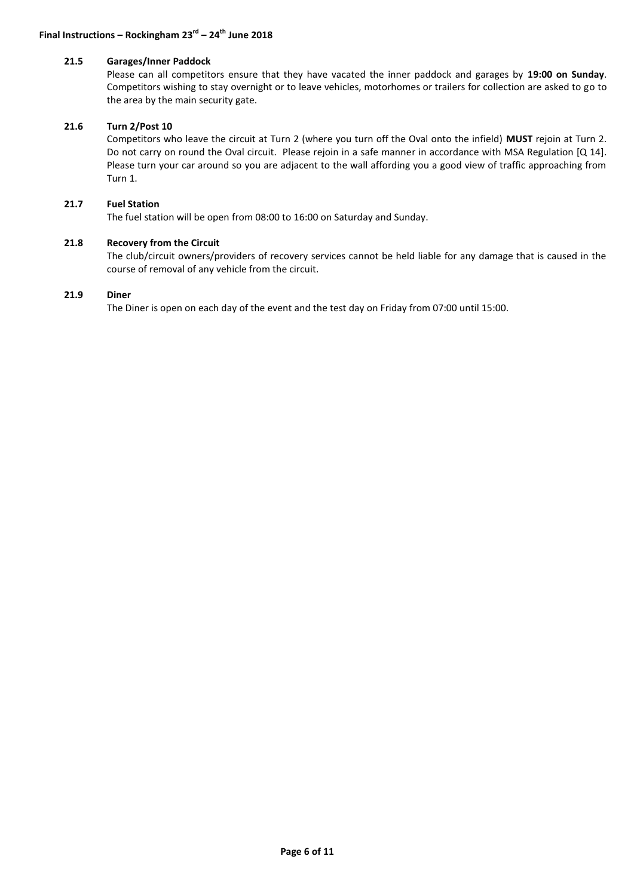#### **21.5 Garages/Inner Paddock**

Please can all competitors ensure that they have vacated the inner paddock and garages by **19:00 on Sunday**. Competitors wishing to stay overnight or to leave vehicles, motorhomes or trailers for collection are asked to go to the area by the main security gate.

#### **21.6 Turn 2/Post 10**

Competitors who leave the circuit at Turn 2 (where you turn off the Oval onto the infield) **MUST** rejoin at Turn 2. Do not carry on round the Oval circuit. Please rejoin in a safe manner in accordance with MSA Regulation [Q 14]. Please turn your car around so you are adjacent to the wall affording you a good view of traffic approaching from Turn 1.

## **21.7 Fuel Station**

The fuel station will be open from 08:00 to 16:00 on Saturday and Sunday.

#### **21.8 Recovery from the Circuit**

The club/circuit owners/providers of recovery services cannot be held liable for any damage that is caused in the course of removal of any vehicle from the circuit.

#### **21.9 Diner**

The Diner is open on each day of the event and the test day on Friday from 07:00 until 15:00.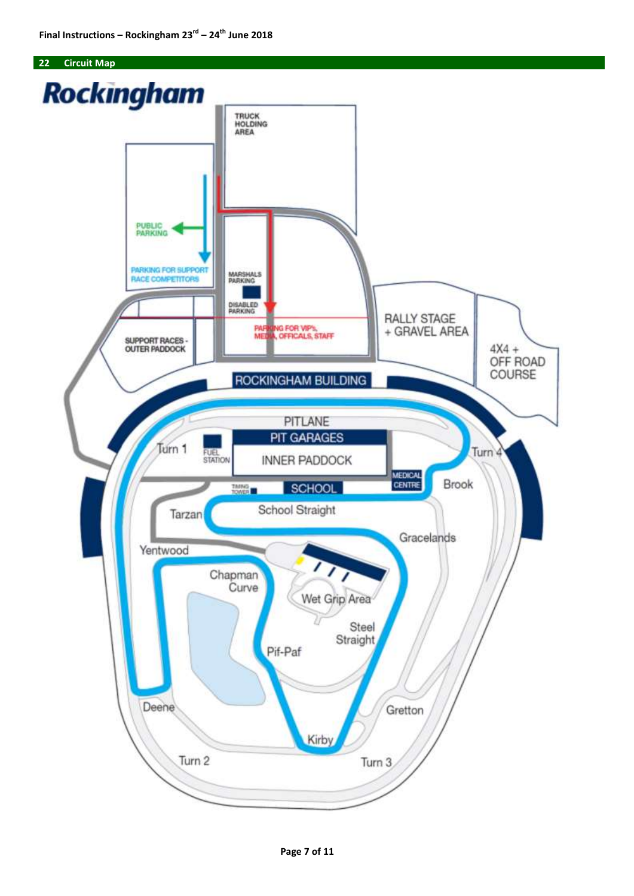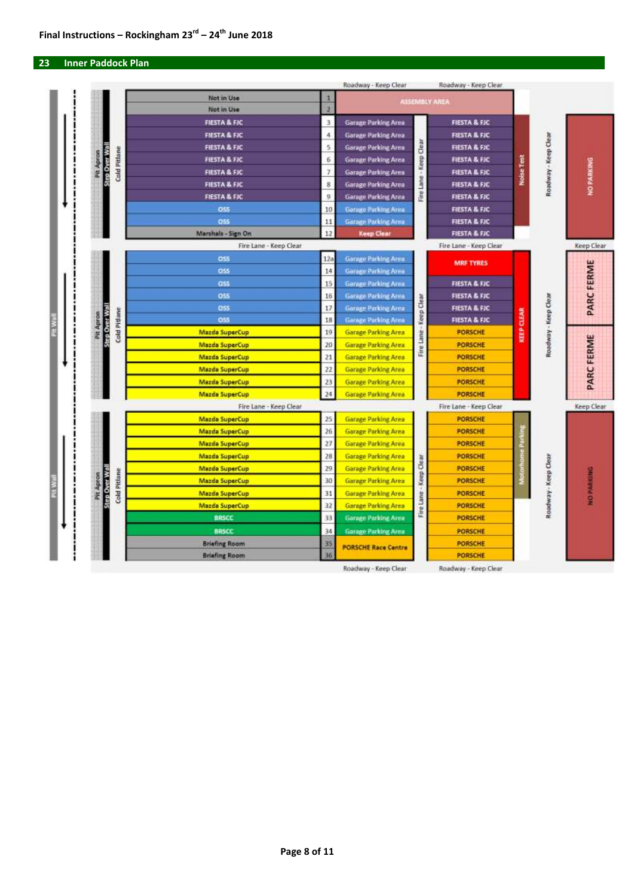#### **23 Inner Paddock Plan**



Roadway - Keep Clear

Roadway - Keep Clear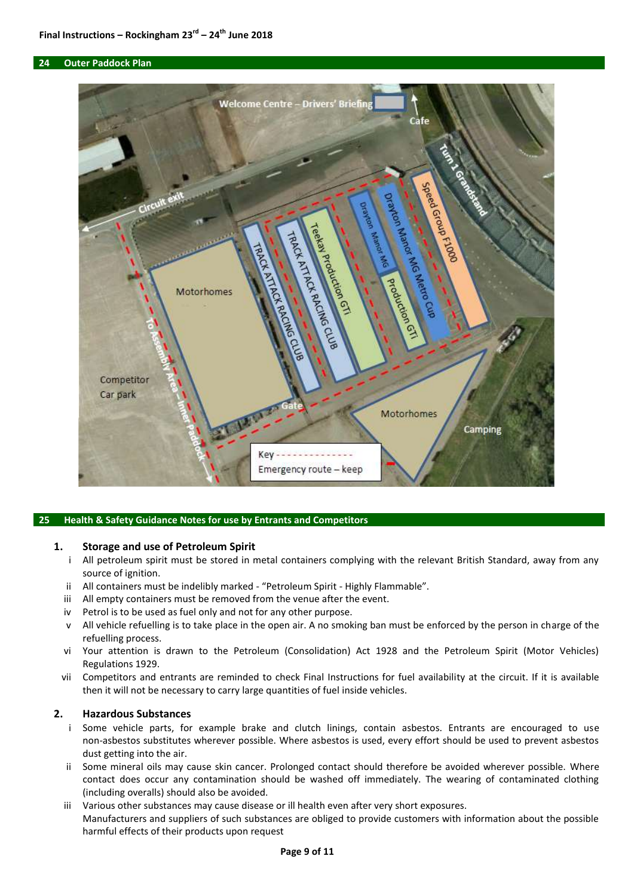#### **24 Outer Paddock Plan**



#### **25 Health & Safety Guidance Notes for use by Entrants and Competitors**

#### **1. Storage and use of Petroleum Spirit**

- i All petroleum spirit must be stored in metal containers complying with the relevant British Standard, away from any source of ignition.
- ii All containers must be indelibly marked "Petroleum Spirit Highly Flammable".
- iii All empty containers must be removed from the venue after the event.
- iv Petrol is to be used as fuel only and not for any other purpose.
- v All vehicle refuelling is to take place in the open air. A no smoking ban must be enforced by the person in charge of the refuelling process.
- vi Your attention is drawn to the Petroleum (Consolidation) Act 1928 and the Petroleum Spirit (Motor Vehicles) Regulations 1929.
- vii Competitors and entrants are reminded to check Final Instructions for fuel availability at the circuit. If it is available then it will not be necessary to carry large quantities of fuel inside vehicles.

#### **2. Hazardous Substances**

- i Some vehicle parts, for example brake and clutch linings, contain asbestos. Entrants are encouraged to use non-asbestos substitutes wherever possible. Where asbestos is used, every effort should be used to prevent asbestos dust getting into the air.
- ii Some mineral oils may cause skin cancer. Prolonged contact should therefore be avoided wherever possible. Where contact does occur any contamination should be washed off immediately. The wearing of contaminated clothing (including overalls) should also be avoided.
- iii Various other substances may cause disease or ill health even after very short exposures. Manufacturers and suppliers of such substances are obliged to provide customers with information about the possible harmful effects of their products upon request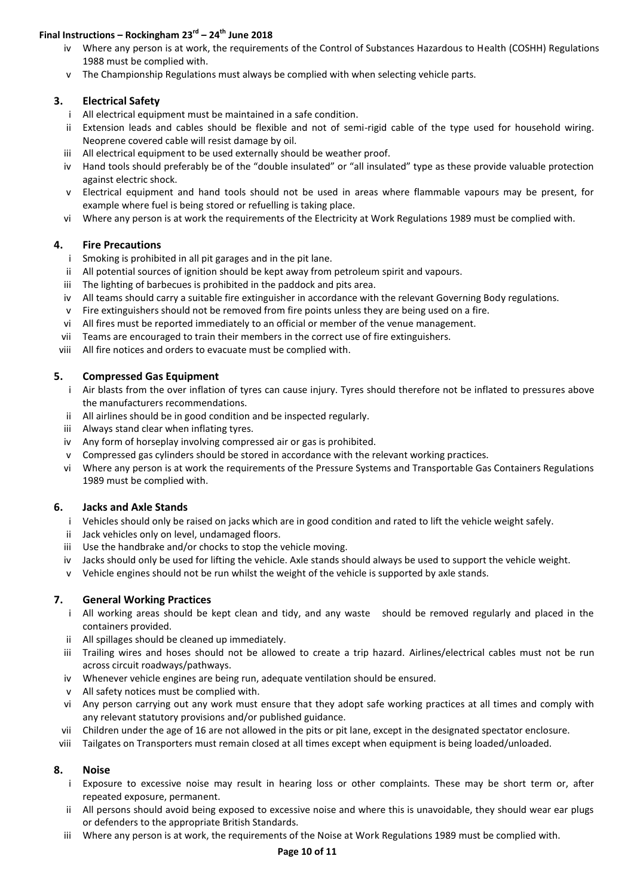# **Final Instructions – Rockingham 23rd – 24th June 2018**

- iv Where any person is at work, the requirements of the Control of Substances Hazardous to Health (COSHH) Regulations 1988 must be complied with.
- v The Championship Regulations must always be complied with when selecting vehicle parts.

# **3. Electrical Safety**

- i All electrical equipment must be maintained in a safe condition.
- ii Extension leads and cables should be flexible and not of semi-rigid cable of the type used for household wiring. Neoprene covered cable will resist damage by oil.
- iii All electrical equipment to be used externally should be weather proof.
- iv Hand tools should preferably be of the "double insulated" or "all insulated" type as these provide valuable protection against electric shock.
- v Electrical equipment and hand tools should not be used in areas where flammable vapours may be present, for example where fuel is being stored or refuelling is taking place.
- vi Where any person is at work the requirements of the Electricity at Work Regulations 1989 must be complied with.

# **4. Fire Precautions**

- i Smoking is prohibited in all pit garages and in the pit lane.
- ii All potential sources of ignition should be kept away from petroleum spirit and vapours.
- iii The lighting of barbecues is prohibited in the paddock and pits area.
- iv All teams should carry a suitable fire extinguisher in accordance with the relevant Governing Body regulations.
- v Fire extinguishers should not be removed from fire points unless they are being used on a fire.
- vi All fires must be reported immediately to an official or member of the venue management.
- vii Teams are encouraged to train their members in the correct use of fire extinguishers.
- viii All fire notices and orders to evacuate must be complied with.

# **5. Compressed Gas Equipment**

- i Air blasts from the over inflation of tyres can cause injury. Tyres should therefore not be inflated to pressures above the manufacturers recommendations.
- ii All airlines should be in good condition and be inspected regularly.
- iii Always stand clear when inflating tyres.
- iv Any form of horseplay involving compressed air or gas is prohibited.
- v Compressed gas cylinders should be stored in accordance with the relevant working practices.
- vi Where any person is at work the requirements of the Pressure Systems and Transportable Gas Containers Regulations 1989 must be complied with.

# **6. Jacks and Axle Stands**

- i Vehicles should only be raised on jacks which are in good condition and rated to lift the vehicle weight safely.
- ii Jack vehicles only on level, undamaged floors.
- iii Use the handbrake and/or chocks to stop the vehicle moving.
- iv Jacks should only be used for lifting the vehicle. Axle stands should always be used to support the vehicle weight.
- v Vehicle engines should not be run whilst the weight of the vehicle is supported by axle stands.

# **7. General Working Practices**

- i All working areas should be kept clean and tidy, and any waste should be removed regularly and placed in the containers provided.
- ii All spillages should be cleaned up immediately.
- iii Trailing wires and hoses should not be allowed to create a trip hazard. Airlines/electrical cables must not be run across circuit roadways/pathways.
- iv Whenever vehicle engines are being run, adequate ventilation should be ensured.
- v All safety notices must be complied with.
- vi Any person carrying out any work must ensure that they adopt safe working practices at all times and comply with any relevant statutory provisions and/or published guidance.
- vii Children under the age of 16 are not allowed in the pits or pit lane, except in the designated spectator enclosure.
- viii Tailgates on Transporters must remain closed at all times except when equipment is being loaded/unloaded.

# **8. Noise**

- i Exposure to excessive noise may result in hearing loss or other complaints. These may be short term or, after repeated exposure, permanent.
- ii All persons should avoid being exposed to excessive noise and where this is unavoidable, they should wear ear plugs or defenders to the appropriate British Standards.
- iii Where any person is at work, the requirements of the Noise at Work Regulations 1989 must be complied with.